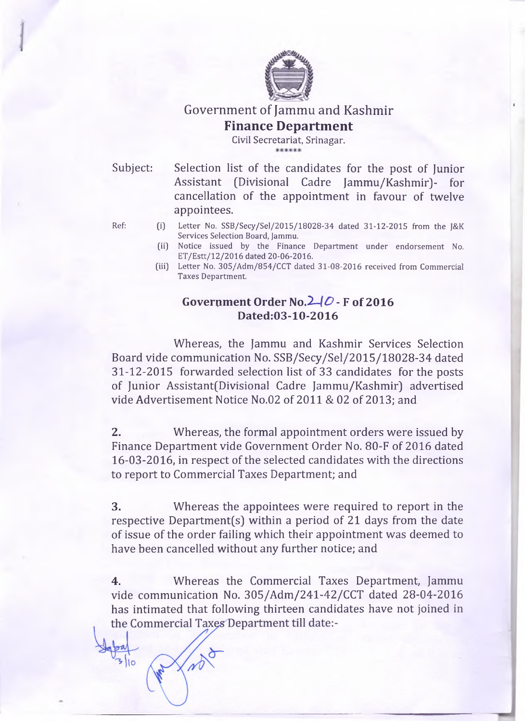

# Government of Jammu and Kashmir **Finance Department**

Civil Secretariat, Srinagar.

Subject: Selection list of the candidates for the post of Junior Assistant (Divisional Cadre Jammu/Kashmir)- for cancellation of the appointment in favour of twelve appointees.

 $\frac{1}{3}$  | 0

- **Ref: (i) Letter No. SSB/Secy/Sel/2015/18028-34 dated 31-12-2015 from the J&K Services Selection Board, Jammu.**
	- **(ii) Notice issued by the Finance Department under endorsement No. E T /E stt/12/2016 dated 20-06-2016.**
	- **(iii) Letter No. 305/Adm/854/CCT dated 31-08-2016 received from Commercial Taxes Department.**

## **Government Order No.***2-40***- F of 2016 D ated:03-10-2016**

Whereas, the Jammu and Kashmir Services Selection Board vide communication No. SSB/Secy/Sel/2015/18028-34 dated 31-12-2015 forwarded selection list of 33 candidates for the posts of Junior Assistant(Divisional Cadre Jammu/Kashmir) advertised vide Advertisement Notice No.02 of 2011 & 02 of 2013; and

**2.** Whereas, the formal appointment orders were issued by Finance Department vide Government Order No. 80-F of 2016 dated 16-03-2016, in respect of the selected candidates with the directions to report to Commercial Taxes Department; and

**3.** Whereas the appointees were required to report in the respective Department(s) within a period of 21 days from the date of issue of the order failing which their appointment was deemed to have been cancelled without any further notice; and

**4.** Whereas the Commercial Taxes Department, Jammu vide communication No. 305/Adm/241-42/CCT dated 28-04-2016 has intimated that following thirteen candidates have not joined in the Commercial Taxes Department till date:-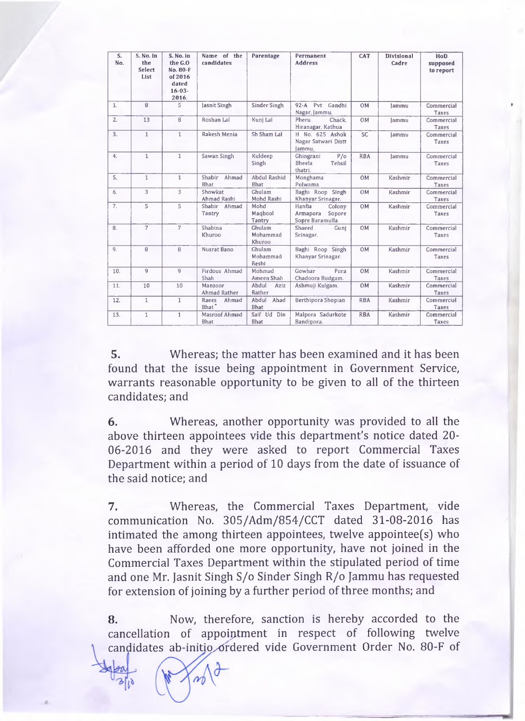| S.<br>No. | S. No. in<br>the<br>Select<br>List | S. No. in<br>the G.O<br>No. 80-F<br>of 2016<br>dated<br>$16 - 03 -$<br>2016. | Name of the<br>candidates           | Parentage                    | Permanent<br><b>Address</b>                                | <b>CAT</b> | <b>Divisional</b><br>Cadre | HoD<br>supposed<br>to report |
|-----------|------------------------------------|------------------------------------------------------------------------------|-------------------------------------|------------------------------|------------------------------------------------------------|------------|----------------------------|------------------------------|
| 1.        | R                                  | 5                                                                            | Jasnit Singh                        | Sinder Singh                 | 92-A Pvt Gandhi<br>Nagar, Jammu.                           | <b>OM</b>  | Jammu                      | Commercial<br>Taxes          |
| 2.        | 13                                 | 8                                                                            | Roshan Lal                          | Kuni Lal                     | Pheru<br>Chack.<br>Hiranagar, Kathua                       | 0M         | lammu                      | Commercial<br><b>Taxes</b>   |
| 3.        | $\mathbf{1}$                       | $\mathbf{1}$                                                                 | Rakesh Menia                        | Sh Sham Lal                  | H No. 625 Ashok<br>Nagar Satwari Distt<br>lammu.           | SC         | lammu                      | Commercial<br>Taxes          |
| 4.        | $\mathbf{1}$                       | $\mathbf{1}$                                                                 | Sawan Singh                         | Kuldeep<br>Singh             | P/O<br>Ghingrani<br><b>Bheela</b><br>Tehsil<br>thatri.     | <b>RBA</b> | lammu                      | Commercial<br>Taxes          |
| 5.        | $\mathbf{1}$                       | $\mathbf{1}$                                                                 | Shabir<br>Ahmad<br>Bhat             | Abdul Rashid<br><b>Bhat</b>  | Monghama<br>Pulwama.                                       | <b>OM</b>  | Kashmir                    | Commercial<br>Taxes          |
| 6.        | 3                                  | 3                                                                            | Showkat<br>Ahmad Rashi              | Ghulam<br>Mohd Rashi         | Baghi Roop Singh<br>Khanyar Srinagar.                      | <b>OM</b>  | Kashmir                    | Commercial<br>Taxes          |
| 7.        | 5                                  | 5                                                                            | Shabir<br>Ahmad<br>Tantry           | Mohd<br>Magbool<br>Tantry    | Hanfia<br>Colony<br>Armapora<br>Sopore<br>Sopre Baramulla. | 0M         | Kashmir                    | Commercial<br><b>Taxes</b>   |
| 8.        | $\overline{7}$                     | $\overline{7}$                                                               | Shabina<br>Khuroo                   | Ghulam<br>Mohammad<br>Khuroo | Shaeed<br>Gunj<br>Srinagar.                                | OM         | Kashmir                    | Commercial<br>Taxes          |
| 9.        | 8                                  | 8                                                                            | Nusrat Bano                         | Ghulam<br>Mohammad<br>Reshi  | Baghi Roop Singh<br>Khanyar Srinagar.                      | <b>OM</b>  | Kashmir                    | Commercial<br>Taxes          |
| 10.       | $\overline{Q}$                     | $\overline{q}$                                                               | Firdous Ahmad<br>Shah               | Mohmad<br>Ameen Shah         | Gowhar<br>Pora<br>Chadoora Budgam.                         | OM         | Kashmir                    | Commercial<br>Taxes          |
| 11.       | 10                                 | 10                                                                           | Manzoor<br>Ahmad Rather             | Abdul<br>Aziz<br>Rather      | Ashmuji Kulgam.                                            | 0M         | Kashmir                    | Commercial<br>Taxes          |
| 12.       | $\mathbf{1}$                       | $\mathbf{1}$                                                                 | Ahmad<br>Raees<br>Bhat <sup>*</sup> | Ahdul<br>Ahad<br>Bhat        | Berthipora Shopian                                         | <b>RBA</b> | Kashmir                    | Commercial<br>Taxes          |
| 13.       | $\mathbf{1}$                       | $\mathbf{1}$                                                                 | Masroof Ahmad<br>Bhat               | Saif Ud Din<br><b>Bhat</b>   | Malpora Sadurkote<br>Bandipora.                            | <b>RBA</b> | Kashmir                    | Commercial<br>Taxes          |

5. Whereas; the matter has been examined and it has been found that the issue being appointment in Government Service, warrants reasonable opportunity to be given to all of the thirteen candidates; and

6. Whereas, another opportunity was provided to all the above thirteen appointees vide this department's notice dated 20 06-2016 and they were asked to report Commercial Taxes Department within a period of 10 days from the date of issuance of the said notice; and

7. Whereas, the Commercial Taxes Department, vide communication No. 305/Adm/854/CCT dated 31-08-2016 has intimated the among thirteen appointees, twelve appointee(s) who have been afforded one more opportunity, have not joined in the Commercial Taxes Department within the stipulated period of time and one Mr. Jasnit Singh S/o Sinder Singh R/o Jammu has requested for extension of joining by a further period of three months; and

8. Now, therefore, sanction is hereby accorded to the cancellation of appointment in respect of following twelve candidates ab-initio ordered vide Government Order No. 80-F of

**£**